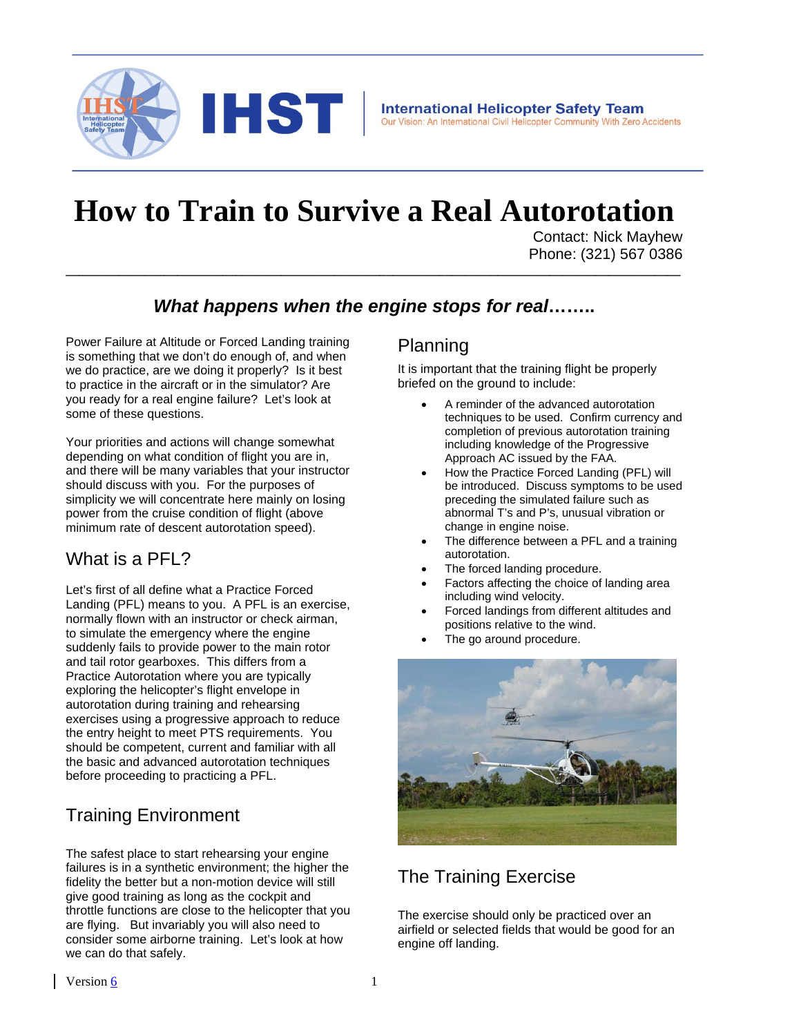

# **How to Train to Survive a Real Autorotation**

Contact: Nick Mayhew Phone: (321) 567 0386

## *What happens when the engine stops for real***……..**

**\_\_\_\_\_\_\_\_\_\_\_\_\_\_\_\_\_\_\_\_\_\_\_\_\_\_\_\_\_\_\_\_\_\_\_\_\_\_\_\_\_\_\_\_\_\_\_\_\_\_\_\_\_\_\_\_\_\_\_\_\_\_\_\_\_\_\_\_\_\_\_\_\_\_\_\_\_\_\_\_\_\_\_\_\_\_\_\_\_\_\_\_\_\_**

Power Failure at Altitude or Forced Landing training is something that we don't do enough of, and when we do practice, are we doing it properly? Is it best to practice in the aircraft or in the simulator? Are you ready for a real engine failure? Let's look at some of these questions.

Your priorities and actions will change somewhat depending on what condition of flight you are in, and there will be many variables that your instructor should discuss with you. For the purposes of simplicity we will concentrate here mainly on losing power from the cruise condition of flight (above minimum rate of descent autorotation speed).

### What is a PFL?

Let's first of all define what a Practice Forced Landing (PFL) means to you. A PFL is an exercise, normally flown with an instructor or check airman, to simulate the emergency where the engine suddenly fails to provide power to the main rotor and tail rotor gearboxes. This differs from a Practice Autorotation where you are typically exploring the helicopter's flight envelope in autorotation during training and rehearsing exercises using a progressive approach to reduce the entry height to meet PTS requirements. You should be competent, current and familiar with all the basic and advanced autorotation techniques before proceeding to practicing a PFL.

# Training Environment

The safest place to start rehearsing your engine failures is in a synthetic environment; the higher the fidelity the better but a non-motion device will still give good training as long as the cockpit and throttle functions are close to the helicopter that you are flying. But invariably you will also need to consider some airborne training. Let's look at how we can do that safely.

#### Planning

It is important that the training flight be properly briefed on the ground to include:

- A reminder of the advanced autorotation techniques to be used. Confirm currency and completion of previous autorotation training including knowledge of the Progressive Approach AC issued by the FAA.
- How the Practice Forced Landing (PFL) will be introduced. Discuss symptoms to be used preceding the simulated failure such as abnormal T's and P's, unusual vibration or change in engine noise.
- The difference between a PFL and a training autorotation.
- The forced landing procedure.
- Factors affecting the choice of landing area including wind velocity.
- Forced landings from different altitudes and positions relative to the wind.
- The go around procedure.



# The Training Exercise

The exercise should only be practiced over an airfield or selected fields that would be good for an engine off landing.